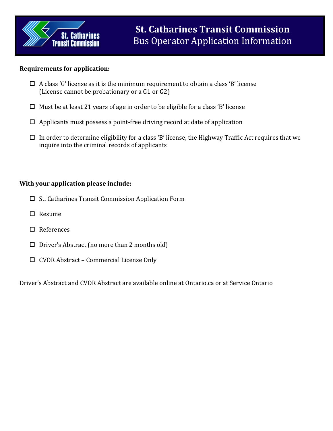

## **Requirements for application:**

- $\Box$  A class 'G' license as it is the minimum requirement to obtain a class 'B' license (License cannot be probationary or a G1 or G2)
- $\Box$  Must be at least 21 years of age in order to be eligible for a class 'B' license
- $\Box$  Applicants must possess a point-free driving record at date of application
- $\Box$  In order to determine eligibility for a class 'B' license, the Highway Traffic Act requires that we inquire into the criminal records of applicants

## **With your application please include:**

- $\Box$  St. Catharines Transit Commission Application Form
- □ Resume
- □ References
- $\Box$  Driver's Abstract (no more than 2 months old)
- CVOR Abstract Commercial License Only

Driver's Abstract and CVOR Abstract are available online at Ontario.ca or at Service Ontario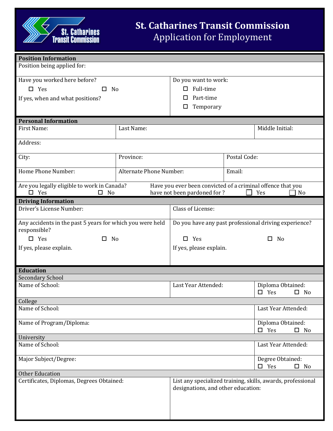

| <b>Position Information</b>                                                  |                                |                                                                                                          |                                                 |                                    |              |  |  |
|------------------------------------------------------------------------------|--------------------------------|----------------------------------------------------------------------------------------------------------|-------------------------------------------------|------------------------------------|--------------|--|--|
| Position being applied for:                                                  |                                |                                                                                                          |                                                 |                                    |              |  |  |
| Have you worked here before?                                                 |                                | Do you want to work:                                                                                     |                                                 |                                    |              |  |  |
| $\Box$ Yes<br>П.<br>No                                                       |                                | Full-time<br>$\Box$                                                                                      |                                                 |                                    |              |  |  |
| If yes, when and what positions?                                             |                                | Part-time<br>ப                                                                                           |                                                 |                                    |              |  |  |
|                                                                              |                                | Temporary<br>□                                                                                           |                                                 |                                    |              |  |  |
| <b>Personal Information</b>                                                  |                                |                                                                                                          |                                                 |                                    |              |  |  |
| First Name:                                                                  | Last Name:                     | Middle Initial:                                                                                          |                                                 |                                    |              |  |  |
| Address:                                                                     |                                |                                                                                                          |                                                 |                                    |              |  |  |
| City:                                                                        | Province:                      | Postal Code:                                                                                             |                                                 |                                    |              |  |  |
| Home Phone Number:                                                           | <b>Alternate Phone Number:</b> | Email:                                                                                                   |                                                 |                                    |              |  |  |
| Are you legally eligible to work in Canada?<br>$\square$ Yes<br>$\square$ No |                                | Have you ever been convicted of a criminal offence that you<br>have not been pardoned for ?<br>Yes<br>No |                                                 |                                    |              |  |  |
| <b>Driving Information</b>                                                   |                                |                                                                                                          |                                                 |                                    |              |  |  |
| Driver's License Number:                                                     |                                | Class of License:                                                                                        |                                                 |                                    |              |  |  |
| Any accidents in the past 5 years for which you were held<br>responsible?    |                                | Do you have any past professional driving experience?                                                    |                                                 |                                    |              |  |  |
| $\Box$ Yes<br>$\Box$<br>No                                                   |                                | Yes<br>No<br>□<br>□                                                                                      |                                                 |                                    |              |  |  |
| If yes, please explain.                                                      |                                | If yes, please explain.                                                                                  |                                                 |                                    |              |  |  |
|                                                                              |                                |                                                                                                          |                                                 |                                    |              |  |  |
| <b>Education</b>                                                             |                                |                                                                                                          |                                                 |                                    |              |  |  |
| <b>Secondary School</b>                                                      |                                |                                                                                                          |                                                 |                                    |              |  |  |
| Name of School:                                                              |                                | Last Year Attended:                                                                                      |                                                 | Diploma Obtained:<br>$\square$ Yes | $\square$ No |  |  |
| College                                                                      |                                |                                                                                                          |                                                 |                                    |              |  |  |
| Name of School:                                                              |                                |                                                                                                          | Last Year Attended:                             |                                    |              |  |  |
| Name of Program/Diploma:                                                     |                                |                                                                                                          | Diploma Obtained:<br>$\Box$ Yes<br>$\square$ No |                                    |              |  |  |
| University                                                                   |                                |                                                                                                          |                                                 |                                    |              |  |  |
| Name of School:                                                              |                                |                                                                                                          | Last Year Attended:                             |                                    |              |  |  |
| Major Subject/Degree:                                                        |                                |                                                                                                          | Degree Obtained:<br>$\square$ Yes               | $\Box$<br>No                       |              |  |  |
| <b>Other Education</b>                                                       |                                |                                                                                                          |                                                 |                                    |              |  |  |
| Certificates, Diplomas, Degrees Obtained:                                    |                                | List any specialized training, skills, awards, professional<br>designations, and other education:        |                                                 |                                    |              |  |  |
|                                                                              |                                |                                                                                                          |                                                 |                                    |              |  |  |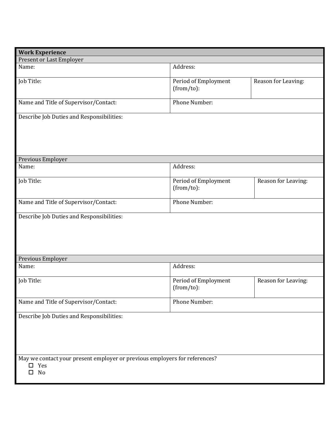| <b>Work Experience</b>                                                                            |                                       |                     |  |  |  |
|---------------------------------------------------------------------------------------------------|---------------------------------------|---------------------|--|--|--|
| Present or Last Employer                                                                          |                                       |                     |  |  |  |
| Name:                                                                                             | Address:                              |                     |  |  |  |
| Job Title:                                                                                        | Period of Employment<br>$(from/to)$ : | Reason for Leaving: |  |  |  |
| Name and Title of Supervisor/Contact:                                                             | Phone Number:                         |                     |  |  |  |
| Describe Job Duties and Responsibilities:                                                         |                                       |                     |  |  |  |
| Previous Employer                                                                                 |                                       |                     |  |  |  |
| Name:                                                                                             | Address:                              |                     |  |  |  |
| Job Title:                                                                                        | Period of Employment<br>(from/to):    | Reason for Leaving: |  |  |  |
| Name and Title of Supervisor/Contact:                                                             | Phone Number:                         |                     |  |  |  |
| Describe Job Duties and Responsibilities:                                                         |                                       |                     |  |  |  |
| Previous Employer                                                                                 |                                       |                     |  |  |  |
| Name:                                                                                             | Address:                              |                     |  |  |  |
| Job Title:                                                                                        | Period of Employment<br>$(from/to)$ : | Reason for Leaving: |  |  |  |
| Name and Title of Supervisor/Contact:                                                             | Phone Number:                         |                     |  |  |  |
| Describe Job Duties and Responsibilities:                                                         |                                       |                     |  |  |  |
| May we contact your present employer or previous employers for references?<br>Yes<br>□<br>No<br>0 |                                       |                     |  |  |  |